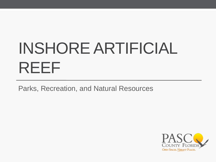# INSHORE ARTIFICIAL REEF

Parks, Recreation, and Natural Resources

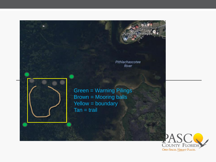Gulf Coast<br>Income Strategies Pithlachascotee River Green = Warning Pilings Brown = Mooring balls Yellow = boundary  $Tan = trail$ 

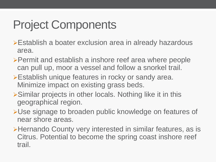## Project Components

- Establish a boater exclusion area in already hazardous area.
- Permit and establish a inshore reef area where people can pull up, moor a vessel and follow a snorkel trail.
- **Establish unique features in rocky or sandy area.** Minimize impact on existing grass beds.
- Similar projects in other locals. Nothing like it in this geographical region.
- Use signage to broaden public knowledge on features of near shore areas.
- Hernando County very interested in similar features, as is Citrus. Potential to become the spring coast inshore reef trail.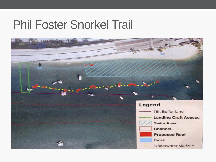### Phil Foster Snorkel Trail

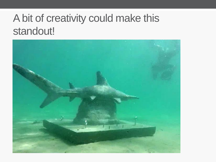### A bit of creativity could make this standout!

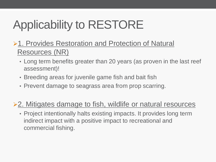# Applicability to RESTORE

- **≻1. Provides Restoration and Protection of Natural** Resources (NR)
	- Long term benefits greater than 20 years (as proven in the last reef assessment)!
	- Breeding areas for juvenile game fish and bait fish
	- Prevent damage to seagrass area from prop scarring.

#### **≻2. Mitigates damage to fish, wildlife or natural resources**

• Project intentionally halts existing impacts. It provides long term indirect impact with a positive impact to recreational and commercial fishing.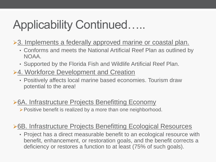### Applicability Continued…..

- ▶ 3. Implements a federally approved marine or coastal plan.
	- Conforms and meets the National Artificial Reef Plan as outlined by NOAA.
	- Supported by the Florida Fish and Wildlife Artificial Reef Plan.
- **≻4. Workforce Development and Creation** 
	- Positively affects local marine based economies. Tourism draw potential to the area!
- **≻6A. Infrastructure Projects Benefitting Economy**  $\triangleright$  Positive benefit is realized by a more than one neighborhood.

#### **≻6B. Infrastructure Projects Benefitting Ecological Resources**

• Project has a direct measurable benefit to an ecological resource with benefit, enhancement, or restoration goals, and the benefit corrects a deficiency or restores a function to at least (75% of such goals).